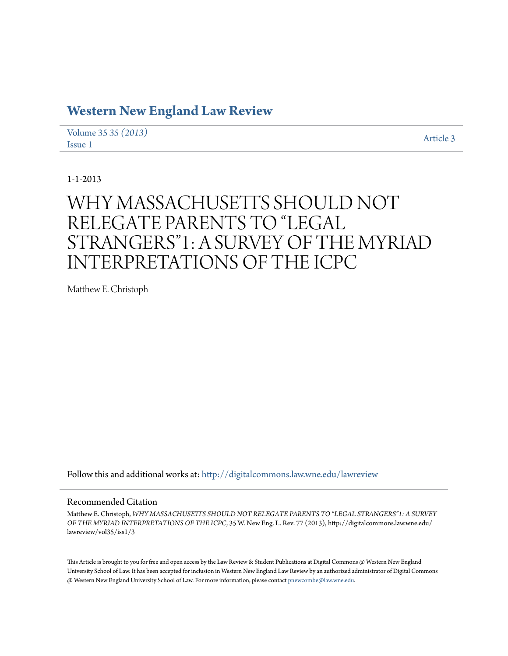## **[Western New England Law Review](http://digitalcommons.law.wne.edu/lawreview?utm_source=digitalcommons.law.wne.edu%2Flawreview%2Fvol35%2Fiss1%2F3&utm_medium=PDF&utm_campaign=PDFCoverPages)**

[Volume 35](http://digitalcommons.law.wne.edu/lawreview/vol35?utm_source=digitalcommons.law.wne.edu%2Flawreview%2Fvol35%2Fiss1%2F3&utm_medium=PDF&utm_campaign=PDFCoverPages) *35 (2013)* Article 3<br> [Issue 1](http://digitalcommons.law.wne.edu/lawreview/vol35/iss1?utm_source=digitalcommons.law.wne.edu%2Flawreview%2Fvol35%2Fiss1%2F3&utm_medium=PDF&utm_campaign=PDFCoverPages)

1-1-2013

# WHY MASSACHUSETTS SHOULD NOT RELEGATE PARENTS TO "LEGAL STRANGERS"1: A SURVEY OF THE MYRIAD INTERPRETATIONS OF THE ICPC

Matthew E. Christoph

Follow this and additional works at: [http://digitalcommons.law.wne.edu/lawreview](http://digitalcommons.law.wne.edu/lawreview?utm_source=digitalcommons.law.wne.edu%2Flawreview%2Fvol35%2Fiss1%2F3&utm_medium=PDF&utm_campaign=PDFCoverPages)

### Recommended Citation

Matthew E. Christoph, *WHY MASSACHUSETTS SHOULD NOT RELEGATE PARENTS TO "LEGAL STRANGERS"1: A SURVEY OF THE MYRIAD INTERPRETATIONS OF THE ICPC*, 35 W. New Eng. L. Rev. 77 (2013), http://digitalcommons.law.wne.edu/ lawreview/vol35/iss1/3

This Article is brought to you for free and open access by the Law Review & Student Publications at Digital Commons @ Western New England University School of Law. It has been accepted for inclusion in Western New England Law Review by an authorized administrator of Digital Commons @ Western New England University School of Law. For more information, please contact [pnewcombe@law.wne.edu.](mailto:pnewcombe@law.wne.edu)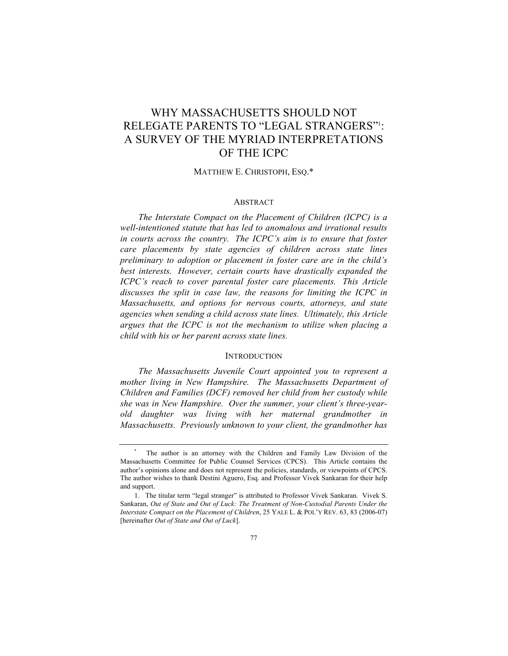## RELEGATE PARENTS TO "LEGAL STRANGERS"1 : A SURVEY OF THE MYRIAD INTERPRETATIONS OF THE ICPC WHY MASSACHUSETTS SHOULD NOT

MATTHEW E. CHRISTOPH, ESQ.\*

#### **ABSTRACT**

 *The Interstate Compact on the Placement of Children (ICPC) is a well-intentioned statute that has led to anomalous and irrational results in courts across the country. The ICPC's aim is to ensure that foster care placements by state agencies of children across state lines preliminary to adoption or placement in foster care are in the child's best interests. However, certain courts have drastically expanded the ICPC's reach to cover parental foster care placements. This Article discusses the split in case law, the reasons for limiting the ICPC in Massachusetts, and options for nervous courts, attorneys, and state*  agencies when sending a child across state lines. Ultimately, this Article  *argues that the ICPC is not the mechanism to utilize when placing a child with his or her parent across state lines.* 

#### **INTRODUCTION**

 *The Massachusetts Juvenile Court appointed you to represent a mother living in New Hampshire. The Massachusetts Department of Children and Families (DCF) removed her child from her custody while she was in New Hampshire. Over the summer, your client's three-year- old daughter was living with her maternal grandmother in Massachusetts. Previously unknown to your client, the grandmother has* 

 \* The author is an attorney with the Children and Family Law Division of the Massachusetts Committee for Public Counsel Services (CPCS). This Article contains the author's opinions alone and does not represent the policies, standards, or viewpoints of CPCS. The author wishes to thank Destini Aguero, Esq. and Professor Vivek Sankaran for their help and support.

 1. The titular term "legal stranger" is attributed to Professor Vivek Sankaran. Vivek S. Sankaran, Out of State and Out of Luck: The Treatment of Non-Custodial Parents Under the  *Interstate Compact on the Placement of Children*, 25 YALE L. & POL'Y REV. 63, 83 (2006-07)  [hereinafter *Out of State and Out of Luck*].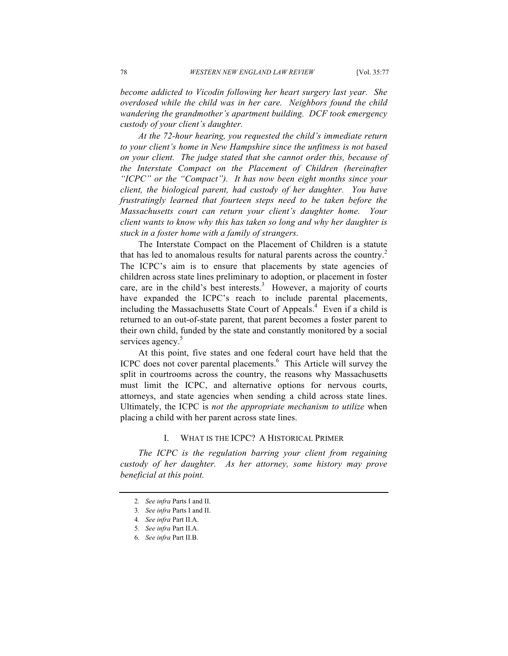*become addicted to Vicodin following her heart surgery last year. She overdosed while the child was in her care. Neighbors found the child wandering the grandmother's apartment building. DCF took emergency custody of your client's daughter.* 

 *At the 72-hour hearing, you requested the child's immediate return to your client's home in New Hampshire since the unfitness is not based on your client. The judge stated that she cannot order this, because of the Interstate Compact on the Placement of Children (hereinafter "ICPC" or the "Compact"). It has now been eight months since your client, the biological parent, had custody of her daughter. You have frustratingly learned that fourteen steps need to be taken before the Massachusetts court can return your client's daughter home. Your client wants to know why this has taken so long and why her daughter is stuck in a foster home with a family of strangers.* 

 The Interstate Compact on the Placement of Children is a statute that has led to anomalous results for natural parents across the country.<sup>2</sup> The ICPC's aim is to ensure that placements by state agencies of children across state lines preliminary to adoption, or placement in foster care, are in the child's best interests.<sup>3</sup> However, a majority of courts have expanded the ICPC's reach to include parental placements, including the Massachusetts State Court of Appeals.<sup>4</sup> Even if a child is returned to an out-of-state parent, that parent becomes a foster parent to their own child, funded by the state and constantly monitored by a social services agency.<sup>5</sup>

 At this point, five states and one federal court have held that the ICPC does not cover parental placements.<sup>6</sup> This Article will survey the split in courtrooms across the country, the reasons why Massachusetts must limit the ICPC, and alternative options for nervous courts, attorneys, and state agencies when sending a child across state lines. Ultimately, the ICPC is *not the appropriate mechanism to utilize* when placing a child with her parent across state lines.

#### I. WHAT IS THE ICPC? A HISTORICAL PRIMER

 *The ICPC is the regulation barring your client from regaining custody of her daughter. As her attorney, some history may prove beneficial at this point.* 

<sup>2</sup>*. See infra* Parts I and II.

<sup>3</sup>*. See infra* Parts I and II.

<sup>4</sup>*. See infra* Part II.A.

<sup>5</sup>*. See infra* Part II.A.

<sup>6</sup>*. See infra* Part II.B.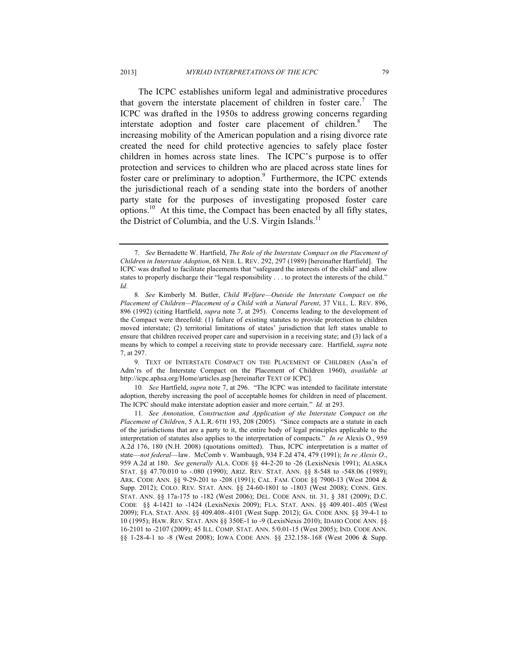The ICPC establishes uniform legal and administrative procedures that govern the interstate placement of children in foster care.<sup>7</sup> The ICPC was drafted in the 1950s to address growing concerns regarding interstate adoption and foster care placement of children.<sup>8</sup> increasing mobility of the American population and a rising divorce rate created the need for child protective agencies to safely place foster children in homes across state lines. The ICPC's purpose is to offer protection and services to children who are placed across state lines for foster care or preliminary to adoption.<sup>9</sup> Furthermore, the ICPC extends the jurisdictional reach of a sending state into the borders of another party state for the purposes of investigating proposed foster care The options.<sup>10</sup> At this time, the Compact has been enacted by all fifty states, the District of Columbia, and the U.S. Virgin Islands.<sup>11</sup>

 9. TEXT OF INTERSTATE COMPACT ON THE PLACEMENT OF CHILDREN (Ass'n of Adm'rs of the Interstate Compact on the Placement of Children 1960), *available at*  http://icpc.aphsa.org/Home/articles.asp [hereinafter TEXT OF ICPC].

 10*. See* Hartfield, *supra* note 7, at 296. "The ICPC was intended to facilitate interstate adoption, thereby increasing the pool of acceptable homes for children in need of placement. The ICPC should make interstate adoption easier and more certain." *Id.* at 293.

 11*. See Annotation, Construction and Application of the Interstate Compact on the Placement of Children*, 5 A.L.R. 6TH 193, 208 (2005). "Since compacts are a statute in each of the jurisdictions that are a party to it, the entire body of legal principles applicable to the interpretation of statutes also applies to the interpretation of compacts." *In re* Alexis O., 959 A.2d 176, 180 (N.H. 2008) (quotations omitted). Thus, ICPC interpretation is a matter of state—*not federal*—law. McComb v. Wambaugh, 934 F.2d 474, 479 (1991); *In re Alexis O*., 959 A.2d at 180. *See generally* ALA. CODE §§ 44-2-20 to -26 (LexisNexis 1991); ALASKA STAT. §§ 47.70.010 to -.080 (1990); ARIZ. REV. STAT. ANN. §§ 8-548 to -548.06 (1989); ARK. CODE ANN. §§ 9-29-201 to -208 (1991); CAL. FAM. CODE §§ 7900-13 (West 2004 & Supp. 2012); COLO. REV. STAT. ANN. §§ 24-60-1801 to -1803 (West 2008); CONN. GEN. STAT. ANN. §§ 17a-175 to -182 (West 2006); DEL. CODE ANN. tit. 31, § 381 (2009); D.C. CODE §§ 4-1421 to -1424 (LexisNexis 2009); FLA. STAT. ANN. §§ 409.401-.405 (West 2009); FLA. STAT. ANN. §§ 409.408-.4101 (West Supp. 2012); GA. CODE ANN. §§ 39-4-1 to 10 (1995); HAW. REV. STAT. ANN §§ 350E-1 to -9 (LexisNexis 2010); IDAHO CODE ANN. §§ 16-2101 to -2107 (2009); 45 ILL. COMP. STAT. ANN. 5/0.01-15 (West 2005); IND. CODE ANN. §§ 1-28-4-1 to -8 (West 2008); IOWA CODE ANN. §§ 232.158-.168 (West 2006 & Supp.

 7*. See* Bernadette W. Hartfield, *The Role of the Interstate Compact on the Placement of Children in Interstate Adoption*, 68 NEB. L. REV. 292, 297 (1989) [hereinafter Hartfield]. The ICPC was drafted to facilitate placements that "safeguard the interests of the child" and allow states to properly discharge their "legal responsibility . . . to protect the interests of the child." *Id.* 

 8*. See* Kimberly M. Butler, *Child Welfare—Outside the Interstate Compact on the Placement of Children—Placement of a Child with a Natural Parent*, 37 VILL. L. REV. 896, 896 (1992) (citing Hartfield, *supra* note 7, at 295). Concerns leading to the development of moved interstate; (2) territorial limitations of states' jurisdiction that left states unable to ensure that children received proper care and supervision in a receiving state; and (3) lack of a means by which to compel a receiving state to provide necessary care. Hartfield, *supra* note the Compact were threefold: (1) failure of existing statutes to provide protection to children 7, at 297.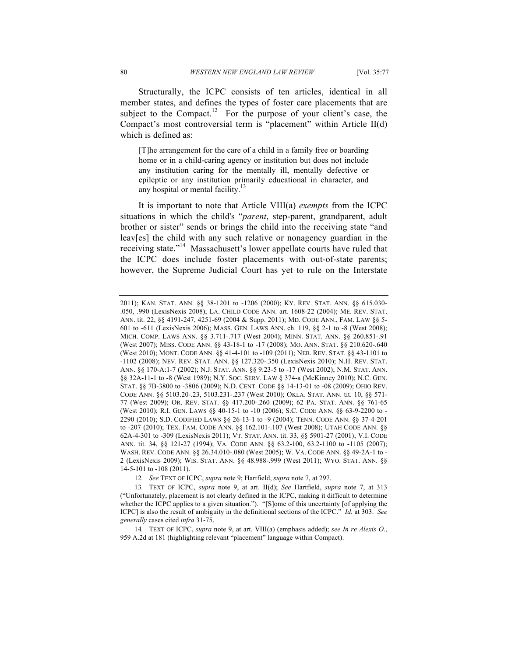Structurally, the ICPC consists of ten articles, identical in all member states, and defines the types of foster care placements that are subject to the Compact.<sup>12</sup> For the purpose of your client's case, the Compact's most controversial term is "placement" within Article II(d) which is defined as:

 [T]he arrangement for the care of a child in a family free or boarding home or in a child-caring agency or institution but does not include any institution caring for the mentally ill, mentally defective or epileptic or any institution primarily educational in character, and any hospital or mental facility.<sup>13</sup>

 It is important to note that Article VIII(a) *exempts* from the ICPC situations in which the child's "*parent*, step-parent, grandparent, adult brother or sister" sends or brings the child into the receiving state "and leav[es] the child with any such relative or nonagency guardian in the receiving state."<sup>14</sup> Massachusett's lower appellate courts have ruled that the ICPC does include foster placements with out-of-state parents; however, the Supreme Judicial Court has yet to rule on the Interstate

 2011); KAN. STAT. ANN. §§ 38-1201 to -1206 (2000); KY. REV. STAT. ANN. §§ 615.030- .050, .990 (LexisNexis 2008); LA. CHILD CODE ANN. art. 1608-22 (2004); ME. REV. STAT. ANN. tit. 22, §§ 4191-247, 4251-69 (2004 & Supp. 2011); MD. CODE ANN., FAM. LAW §§ 5- 601 to -611 (LexisNexis 2006); MASS. GEN. LAWS ANN. ch. 119, §§ 2-1 to -8 (West 2008); MICH. COMP. LAWS ANN. §§ 3.711-.717 (West 2004); MINN. STAT. ANN. §§ 260.851-.91 (West 2007); MISS. CODE ANN. §§ 43-18-1 to -17 (2008); MO. ANN. STAT. §§ 210.620-.640 (West 2010); MONT. CODE ANN. §§ 41-4-101 to -109 (2011); NEB. REV. STAT. §§ 43-1101 to -1102 (2008); NEV. REV. STAT. ANN. §§ 127.320-.350 (LexisNexis 2010); N.H. REV. STAT. ANN. §§ 170-A:1-7 (2002); N.J. STAT. ANN. §§ 9:23-5 to -17 (West 2002); N.M. STAT. ANN. §§ 32A-11-1 to -8 (West 1989); N.Y. SOC. SERV. LAW § 374-a (McKinney 2010); N.C. GEN. STAT. §§ 7B-3800 to -3806 (2009); N.D. CENT. CODE §§ 14-13-01 to -08 (2009); OHIO REV. CODE ANN. §§ 5103.20-.23, 5103.231-.237 (West 2010); OKLA. STAT. ANN. tit. 10, §§ 571- 77 (West 2009); OR. REV. STAT. §§ 417.200-.260 (2009); 62 PA. STAT. ANN. §§ 761-65 (West 2010); R.I. GEN. LAWS §§ 40-15-1 to -10 (2006); S.C. CODE ANN. §§ 63-9-2200 to - to -207 (2010); TEX. FAM. CODE ANN. §§ 162.101-.107 (West 2008); UTAH CODE ANN. §§ 62A-4-301 to -309 (LexisNexis 2011); VT. STAT. ANN. tit. 33, §§ 5901-27 (2001); V.I. CODE WASH. REV. CODE ANN. §§ 26.34.010-.080 (West 2005); W. VA. CODE ANN. §§ 49-2A-1 to - 2 (LexisNexis 2009); WIS. STAT. ANN. §§ 48.988-.999 (West 2011); WYO. STAT. ANN. §§ 2290 (2010); S.D. CODIFIED LAWS §§ 26-13-1 to -9 (2004); TENN. CODE ANN. §§ 37-4-201 ANN. tit. 34, §§ 121-27 (1994); VA. CODE ANN. §§ 63.2-100, 63.2-1100 to -1105 (2007); 14-5-101 to -108 (2011).

<sup>12</sup>*. See* TEXT OF ICPC, *supra* note 9; Hartfield, *supra* note 7, at 297.

 13*.* TEXT OF ICPC, *supra* note 9, at art. II(d); *See* Hartfield, *supra* note 7, at 313 ("Unfortunately, placement is not clearly defined in the ICPC, making it difficult to determine whether the ICPC applies to a given situation."). "[S]ome of this uncertainty [of applying the ICPC] is also the result of ambiguity in the definitional sections of the ICPC." *Id.* at 303. *See generally* cases cited *infra* 31-75.

 959 A.2d at 181 (highlighting relevant "placement" language within Compact). 14*.* TEXT OF ICPC, *supra* note 9, at art. VIII(a) (emphasis added); *see In re Alexis O*.,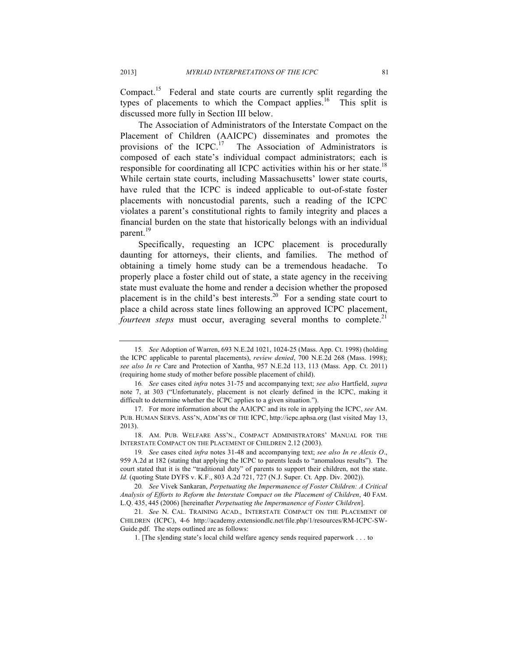types of placements to which the Compact applies.<sup>16</sup> This split is Compact.<sup>15</sup> Federal and state courts are currently split regarding the discussed more fully in Section III below.

 The Association of Administrators of the Interstate Compact on the Placement of Children (AAICPC) disseminates and promotes the provisions of the ICPC.<sup>17</sup> The Association of Administrators is composed of each state's individual compact administrators; each is responsible for coordinating all ICPC activities within his or her state.<sup>18</sup> While certain state courts, including Massachusetts' lower state courts, have ruled that the ICPC is indeed applicable to out-of-state foster placements with noncustodial parents, such a reading of the ICPC violates a parent's constitutional rights to family integrity and places a financial burden on the state that historically belongs with an individual parent.<sup>19</sup>

 Specifically, requesting an ICPC placement is procedurally daunting for attorneys, their clients, and families. The method of obtaining a timely home study can be a tremendous headache. To properly place a foster child out of state, a state agency in the receiving state must evaluate the home and render a decision whether the proposed placement is in the child's best interests.<sup>20</sup> For a sending state court to place a child across state lines following an approved ICPC placement, *fourteen steps* must occur, averaging several months to complete.<sup>21</sup>

 15*. See* Adoption of Warren, 693 N.E.2d 1021, 1024-25 (Mass. App. Ct. 1998) (holding the ICPC applicable to parental placements), *review denied*, 700 N.E.2d 268 (Mass. 1998); (requiring home study of mother before possible placement of child). *see also In re* Care and Protection of Xantha, 957 N.E.2d 113, 113 (Mass. App. Ct. 2011)

 note 7, at 303 ("Unfortunately, placement is not clearly defined in the ICPC, making it 16*. See* cases cited *infra* notes 31-75 and accompanying text; *see also* Hartfield, *supra*  difficult to determine whether the ICPC applies to a given situation.").

 17. For more information about the AAICPC and its role in applying the ICPC, *see* AM. PUB. HUMAN SERVS. ASS'N, ADM'RS OF THE ICPC, http://icpc.aphsa.org (last visited May 13,  $2013$ ). 2013). 18. AM. PUB. WELFARE ASS'N., COMPACT ADMINISTRATORS' MANUAL FOR THE

 INTERSTATE COMPACT ON THE PLACEMENT OF CHILDREN 2.12 (2003).

 959 A.2d at 182 (stating that applying the ICPC to parents leads to "anomalous results"). The court stated that it is the "traditional duty" of parents to support their children, not the state. 19*. See* cases cited *infra* notes 31-48 and accompanying text; *see also In re Alexis O*., *Id.* (quoting State DYFS v. K.F., 803 A.2d 721, 727 (N.J. Super. Ct. App. Div. 2002)).

 20*. See* Vivek Sankaran, *Perpetuating the Impermanence of Foster Children: A Critical Analysis of Efforts to Reform the Interstate Compact on the Placement of Children*, 40 FAM. L.Q. 435, 445 (2006) [hereinafter *Perpetuating the Impermanence of Foster Children*].

 21*. See* N. CAL. TRAINING ACAD., INTERSTATE COMPACT ON THE PLACEMENT OF Guide.pdf. The steps outlined are as follows: CHILDREN (ICPC), 4-6 http://academy.extensiondlc.net/file.php/1/resources/RM-ICPC-SW-

 1. [The s]ending state's local child welfare agency sends required paperwork . . . to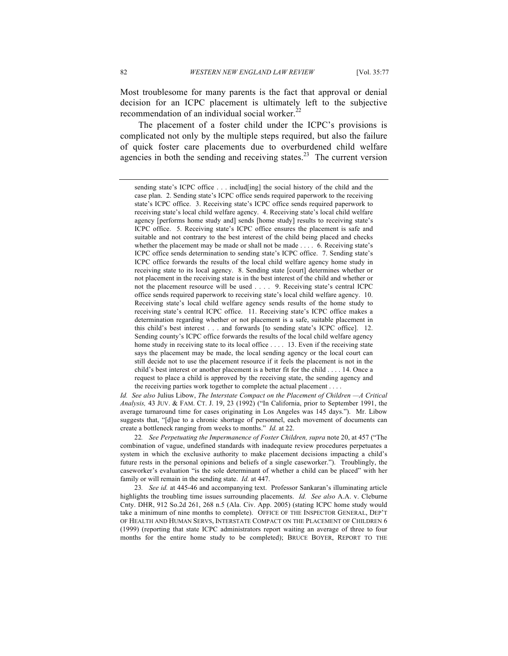Most troublesome for many parents is the fact that approval or denial decision for an ICPC placement is ultimately left to the subjective recommendation of an individual social worker.<sup>22</sup>

 The placement of a foster child under the ICPC's provisions is complicated not only by the multiple steps required, but also the failure of quick foster care placements due to overburdened child welfare agencies in both the sending and receiving states.<sup>23</sup> The current version

 *Id. See also* Julius Libow, *The Interstate Compact on the Placement of Children —A Critical Analysis,* 43 JUV. & FAM. CT. J. 19, 23 (1992) ("In California, prior to September 1991, the average turnaround time for cases originating in Los Angeles was 145 days."). Mr. Libow suggests that, "[d]ue to a chronic shortage of personnel, each movement of documents can create a bottleneck ranging from weeks to months." *Id.* at 22.

 22*. See Perpetuating the Impermanence of Foster Children, supra* note 20, at 457 ("The combination of vague, undefined standards with inadequate review procedures perpetuates a system in which the exclusive authority to make placement decisions impacting a child's future rests in the personal opinions and beliefs of a single caseworker."). Troublingly, the caseworker's evaluation "is the sole determinant of whether a child can be placed" with her family or will remain in the sending state. *Id.* at 447.

 highlights the troubling time issues surrounding placements. *Id. See also* A.A. v. Cleburne Cnty. DHR, 912 So.2d 261, 268 n.5 (Ala. Civ. App. 2005) (stating ICPC home study would take a minimum of nine months to complete). OFFICE OF THE INSPECTOR GENERAL, DEP'T OF HEALTH AND HUMAN SERVS, INTERSTATE COMPACT ON THE PLACEMENT OF CHILDREN 6 (1999) (reporting that state ICPC administrators report waiting an average of three to four months for the entire home study to be completed); BRUCE BOYER, REPORT TO THE 23*. See id.* at 445-46 and accompanying text. Professor Sankaran's illuminating article

 sending state's ICPC office . . . includ[ing] the social history of the child and the case plan. 2. Sending state's ICPC office sends required paperwork to the receiving state's ICPC office. 3. Receiving state's ICPC office sends required paperwork to receiving state's local child welfare agency. 4. Receiving state's local child welfare agency [performs home study and] sends [home study] results to receiving state's ICPC office. 5. Receiving state's ICPC office ensures the placement is safe and suitable and not contrary to the best interest of the child being placed and checks whether the placement may be made or shall not be made . . . . 6. Receiving state's ICPC office sends determination to sending state's ICPC office. 7. Sending state's ICPC office forwards the results of the local child welfare agency home study in receiving state to its local agency. 8. Sending state [court] determines whether or not placement in the receiving state is in the best interest of the child and whether or not the placement resource will be used . . . . 9. Receiving state's central ICPC office sends required paperwork to receiving state's local child welfare agency. 10. Receiving state's local child welfare agency sends results of the home study to receiving state's central ICPC office. 11. Receiving state's ICPC office makes a determination regarding whether or not placement is a safe, suitable placement in this child's best interest . . . and forwards [to sending state's ICPC office]. 12. Sending county's ICPC office forwards the results of the local child welfare agency home study in receiving state to its local office .... 13. Even if the receiving state says the placement may be made, the local sending agency or the local court can still decide not to use the placement resource if it feels the placement is not in the child's best interest or another placement is a better fit for the child . . . . 14. Once a request to place a child is approved by the receiving state, the sending agency and the receiving parties work together to complete the actual placement . . . .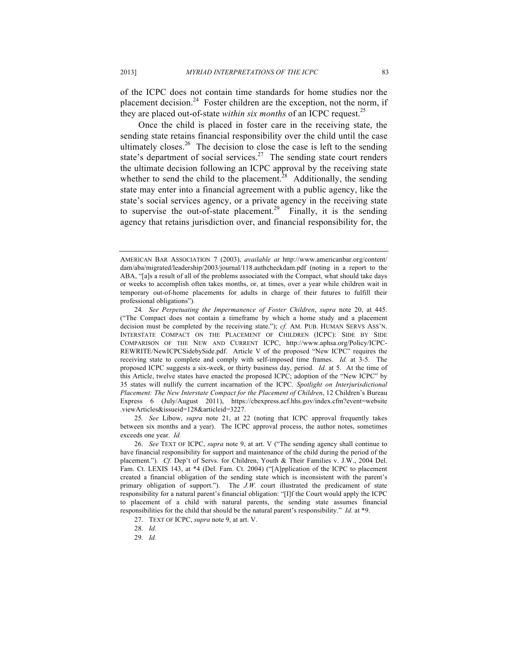of the ICPC does not contain time standards for home studies nor the they are placed out-of-state *within six months* of an ICPC request.<sup>25</sup> placement decision.<sup>24</sup> Foster children are the exception, not the norm, if

 Once the child is placed in foster care in the receiving state, the sending state retains financial responsibility over the child until the case ultimately closes.<sup>26</sup> The decision to close the case is left to the sending state's department of social services.<sup>27</sup> The sending state court renders the ultimate decision following an ICPC approval by the receiving state whether to send the child to the placement.<sup>28</sup> Additionally, the sending state may enter into a financial agreement with a public agency, like the state's social services agency, or a private agency in the receiving state to supervise the out-of-state placement.<sup>29</sup> Finally, it is the sending agency that retains jurisdiction over, and financial responsibility for, the

 between six months and a year). The ICPC approval process, the author notes, sometimes exceeds one year. *Id.*  25*. See* Libow, *supra* note 21, at 22 (noting that ICPC approval frequently takes

 26. *See* TEXT OF ICPC, *supra* note 9, at art. V ("The sending agency shall continue to have financial responsibility for support and maintenance of the child during the period of the placement."). *Cf.* Dep't of Servs. for Children, Youth & Their Families v. J.W., 2004 Del. Fam. Ct. LEXIS 143, at \*4 (Del. Fam. Ct. 2004) ("[A]pplication of the ICPC to placement created a financial obligation of the sending state which is inconsistent with the parent's primary obligation of support."). The *J.W.* court illustrated the predicament of state responsibility for a natural parent's financial obligation: "[I]f the Court would apply the ICPC to placement of a child with natural parents, the sending state assumes financial responsibilities for the child that should be the natural parent's responsibility." *Id.* at \*9.

27. TEXT OF ICPC, *supra* note 9, at art. V.

29. *Id.* 

 dam/aba/migrated/leadership/2003/journal/118.authcheckdam.pdf (noting in a report to the ABA, "[a]s a result of all of the problems associated with the Compact, what should take days or weeks to accomplish often takes months, or, at times, over a year while children wait in temporary out-of-home placements for adults in charge of their futures to fulfill their AMERICAN BAR ASSOCIATION 7 (2003), *available at* http://www.americanbar.org/content/ professional obligations").

 ("The Compact does not contain a timeframe by which a home study and a placement decision must be completed by the receiving state."); *cf.* AM. PUB. HUMAN SERVS ASS'N. INTERSTATE COMPACT ON THE PLACEMENT OF CHILDREN (ICPC): SIDE BY SIDE COMPARISON OF THE NEW AND CURRENT ICPC, http://www.aphsa.org/Policy/ICPC- REWRITE/NewICPCSidebySide.pdf. Article V of the proposed "New ICPC" requires the receiving state to complete and comply with self-imposed time frames. *Id.* at 3-5. The proposed ICPC suggests a six-week, or thirty business day, period. *Id.* at 5. At the time of this Article, twelve states have enacted the proposed ICPC; adoption of the "New ICPC" by 35 states will nullify the current incarnation of the ICPC. *Spotlight on Interjurisdictional Placement: The New Interstate Compact for the Placement of Children*, 12 Children's Bureau Express 6 (July/August 2011), https://cbexpress.acf.hhs.gov/index.cfm?event=website 24*. See Perpetuating the Impermanence of Foster Children*, *supra* note 20, at 445. .viewArticles&issueid=128&articleid=3227.

<sup>28.</sup> *Id.*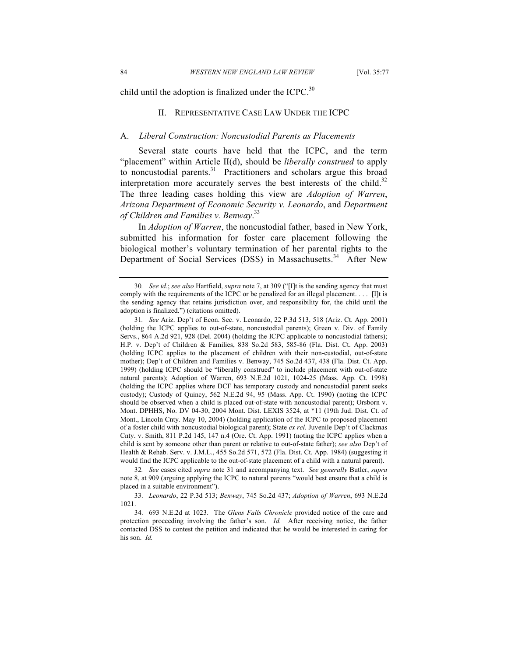child until the adoption is finalized under the ICPC. $30$ 

#### II. REPRESENTATIVE CASE LAW UNDER THE ICPC

#### $A_{\cdot}$ A. *Liberal Construction: Noncustodial Parents as Placements*

 Several state courts have held that the ICPC, and the term "placement" within Article II(d), should be *liberally construed* to apply interpretation more accurately serves the best interests of the child. $32$  The three leading cases holding this view are *Adoption of Warren*,  *Arizona Department of Economic Security v. Leonardo*, and *Department of Children and Families v. Benway*. 33 to noncustodial parents.<sup>31</sup> Practitioners and scholars argue this broad

 In *Adoption of Warren*, the noncustodial father, based in New York, submitted his information for foster care placement following the biological mother's voluntary termination of her parental rights to the Department of Social Services (DSS) in Massachusetts.<sup>34</sup> After New

 33. *Leonardo*, 22 P.3d 513; *Benway*, 745 So.2d 437; *Adoption of Warren*, 693 N.E.2d 1021.

 30*. See id.*; *see also* Hartfield, *supra* note 7, at 309 ("[I]t is the sending agency that must comply with the requirements of the ICPC or be penalized for an illegal placement. . . . [I]t is the sending agency that retains jurisdiction over, and responsibility for, the child until the adoption is finalized.") (citations omitted).

 (holding the ICPC applies to out-of-state, noncustodial parents); Green v. Div. of Family Servs., 864 A.2d 921, 928 (Del. 2004) (holding the ICPC applicable to noncustodial fathers); H.P. v. Dep't of Children & Families, 838 So.2d 583, 585-86 (Fla. Dist. Ct. App. 2003) (holding ICPC applies to the placement of children with their non-custodial, out-of-state mother); Dep't of Children and Families v. Benway, 745 So.2d 437, 438 (Fla. Dist. Ct. App. 1999) (holding ICPC should be "liberally construed" to include placement with out-of-state natural parents); Adoption of Warren, 693 N.E.2d 1021, 1024-25 (Mass. App. Ct. 1998) (holding the ICPC applies where DCF has temporary custody and noncustodial parent seeks custody); Custody of Quincy, 562 N.E.2d 94, 95 (Mass. App. Ct. 1990) (noting the ICPC should be observed when a child is placed out-of-state with noncustodial parent); Orsborn v. Mont. DPHHS, No. DV 04-30, 2004 Mont. Dist. LEXIS 3524, at \*11 (19th Jud. Dist. Ct. of Mont., Lincoln Cnty. May 10, 2004) (holding application of the ICPC to proposed placement of a foster child with noncustodial biological parent); State *ex rel.* Juvenile Dep't of Clackmas Cnty. v. Smith, 811 P.2d 145, 147 n.4 (Ore. Ct. App. 1991) (noting the ICPC applies when a child is sent by someone other than parent or relative to out-of-state father); *see also* Dep't of Health & Rehab. Serv. v. J.M.L., 455 So.2d 571, 572 (Fla. Dist. Ct. App. 1984) (suggesting it would find the ICPC applicable to the out-of-state placement of a child with a natural parent). 31*. See* Ariz. Dep't of Econ. Sec. v. Leonardo, 22 P.3d 513, 518 (Ariz. Ct. App. 2001)

 32*. See* cases cited *supra* note 31 and accompanying text. *See generally* Butler, *supra*  note 8, at 909 (arguing applying the ICPC to natural parents "would best ensure that a child is placed in a suitable environment").

 34. 693 N.E.2d at 1023. The *Glens Falls Chronicle* provided notice of the care and protection proceeding involving the father's son. *Id.* After receiving notice, the father contacted DSS to contest the petition and indicated that he would be interested in caring for his son. *Id.*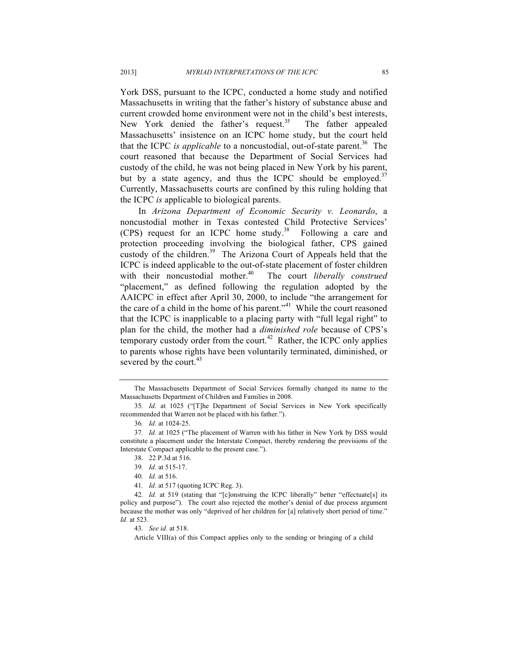York DSS, pursuant to the ICPC, conducted a home study and notified Massachusetts in writing that the father's history of substance abuse and current crowded home environment were not in the child's best interests, New York denied the father's request.<sup>35</sup> The father appealed Massachusetts' insistence on an ICPC home study, but the court held that the ICPC *is applicable* to a noncustodial, out-of-state parent.<sup>36</sup> The court reasoned that because the Department of Social Services had custody of the child, he was not being placed in New York by his parent, but by a state agency, and thus the ICPC should be employed. $37$  Currently, Massachusetts courts are confined by this ruling holding that the ICPC *is* applicable to biological parents.

 In *Arizona Department of Economic Security v. Leonardo*, a noncustodial mother in Texas contested Child Protective Services' (CPS) request for an ICPC home study. $38$  Following a care and protection proceeding involving the biological father, CPS gained custody of the children.<sup>39</sup> The Arizona Court of Appeals held that the ICPC is indeed applicable to the out-of-state placement of foster children with their noncustodial mother.<sup>40</sup> The court *liberally construed*  "placement," as defined following the regulation adopted by the the care of a child in the home of his parent."<sup>41</sup> While the court reasoned that the ICPC is inapplicable to a placing party with "full legal right" to plan for the child, the mother had a *diminished role* because of CPS's temporary custody order from the court.<sup>42</sup> Rather, the ICPC only applies to parents whose rights have been voluntarily terminated, diminished, or severed by the court.<sup>43</sup> AAICPC in effect after April 30, 2000, to include "the arrangement for

43*. See id.* at 518.

Article VIII(a) of this Compact applies only to the sending or bringing of a child

 Massachusetts Department of Children and Families in 2008. The Massachusetts Department of Social Services formally changed its name to the

 recommended that Warren not be placed with his father."). 35*. Id.* at 1025 ("[T]he Department of Social Services in New York specifically

<sup>36</sup>*. Id.* at 1024-25.

 constitute a placement under the Interstate Compact, thereby rendering the provisions of the Interstate Compact applicable to the present case."). 37*. Id.* at 1025 ("The placement of Warren with his father in New York by DSS would

<sup>38. 22</sup> P.3d at 516.

<sup>39</sup>*. Id.* at 515-17.

<sup>40</sup>*. Id.* at 516.

<sup>41</sup>*. Id.* at 517 (quoting ICPC Reg. 3).

 policy and purpose"). The court also rejected the mother's denial of due process argument because the mother was only "deprived of her children for [a] relatively short period of time." 42*. Id.* at 519 (stating that "[c]onstruing the ICPC liberally" better "effectuate[s] its *Id.* at 523.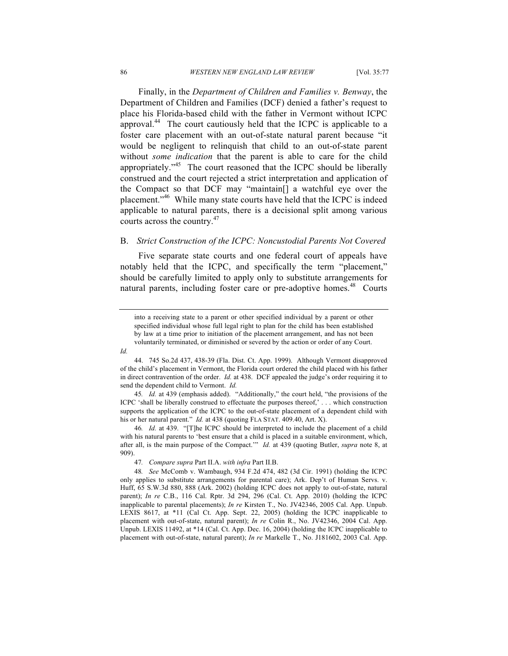Finally, in the *Department of Children and Families v. Benway*, the Department of Children and Families (DCF) denied a father's request to place his Florida-based child with the father in Vermont without ICPC foster care placement with an out-of-state natural parent because "it would be negligent to relinquish that child to an out-of-state parent without *some indication* that the parent is able to care for the child construed and the court rejected a strict interpretation and application of the Compact so that DCF may "maintain[] a watchful eye over the applicable to natural parents, there is a decisional split among various courts across the country.<sup>47</sup> approval.44 The court cautiously held that the ICPC is applicable to a appropriately."<sup>45</sup> The court reasoned that the ICPC should be liberally placement."46 While many state courts have held that the ICPC is indeed

#### B. *Strict Construction of the ICPC: Noncustodial Parents Not Covered*

 Five separate state courts and one federal court of appeals have notably held that the ICPC, and specifically the term "placement," should be carefully limited to apply only to substitute arrangements for natural parents, including foster care or pre-adoptive homes.<sup>48</sup> Courts

 into a receiving state to a parent or other specified individual by a parent or other specified individual whose full legal right to plan for the child has been established by law at a time prior to initiation of the placement arrangement, and has not been voluntarily terminated, or diminished or severed by the action or order of any Court.

*Id.* 

 ICPC 'shall be liberally construed to effectuate the purposes thereof,' . . . which construction supports the application of the ICPC to the out-of-state placement of a dependent child with his or her natural parent." *Id.* at 438 (quoting FLA STAT. 409.40, Art. X). 45*. Id.* at 439 (emphasis added). "Additionally," the court held, "the provisions of the

 46*. Id.* at 439. "[T]he ICPC should be interpreted to include the placement of a child with his natural parents to 'best ensure that a child is placed in a suitable environment, which, after all, is the main purpose of the Compact.'" *Id.* at 439 (quoting Butler, *supra* note 8, at 909).

47*. Compare supra* Part II.A. *with infra* Part II.B.

 48*. See* McComb v. Wambaugh, 934 F.2d 474, 482 (3d Cir. 1991) (holding the ICPC only applies to substitute arrangements for parental care); Ark. Dep't of Human Servs. v. Huff, 65 S.W.3d 880, 888 (Ark. 2002) (holding ICPC does not apply to out-of-state, natural parent); *In re* C.B., 116 Cal. Rptr. 3d 294, 296 (Cal. Ct. App. 2010) (holding the ICPC inapplicable to parental placements); *In re* Kirsten T., No. JV42346, 2005 Cal. App. Unpub. LEXIS 8617, at \*11 (Cal Ct. App. Sept. 22, 2005) (holding the ICPC inapplicable to placement with out-of-state, natural parent); *In re* Colin R., No. JV42346, 2004 Cal. App. Unpub. LEXIS 11492, at \*14 (Cal. Ct. App. Dec. 16, 2004) (holding the ICPC inapplicable to placement with out-of-state, natural parent); *In re* Markelle T., No. J181602, 2003 Cal. App.

 44. 745 So.2d 437, 438-39 (Fla. Dist. Ct. App. 1999). Although Vermont disapproved of the child's placement in Vermont, the Florida court ordered the child placed with his father in direct contravention of the order. *Id.* at 438. DCF appealed the judge's order requiring it to send the dependent child to Vermont. *Id.*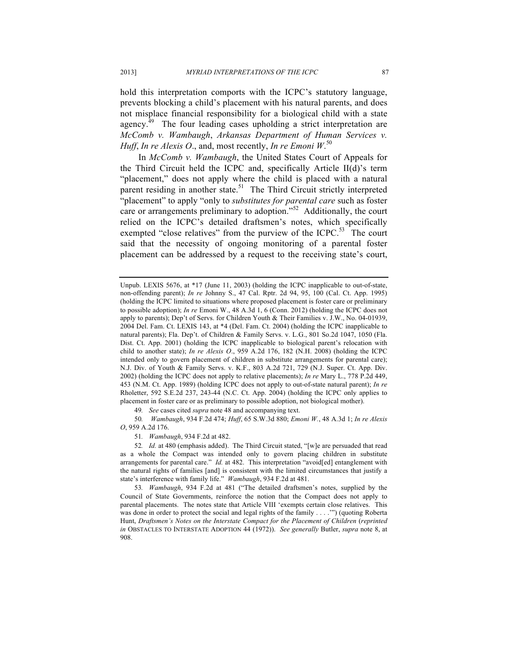hold this interpretation comports with the ICPC's statutory language, prevents blocking a child's placement with his natural parents, and does not misplace financial responsibility for a biological child with a state  *McComb v. Wambaugh*, *Arkansas Department of Human Services v. Huff*, *In re Alexis O*., and, most recently, *In re Emoni W*. 50 agency.<sup> $\frac{49}{9}$ </sup> The four leading cases upholding a strict interpretation are

 In *McComb v. Wambaugh*, the United States Court of Appeals for the Third Circuit held the ICPC and, specifically Article II(d)'s term "placement," does not apply where the child is placed with a natural "placement" to apply "only to *substitutes for parental care* such as foster care or arrangements preliminary to adoption."<sup>52</sup> Additionally, the court relied on the ICPC's detailed draftsmen's notes, which specifically exempted "close relatives" from the purview of the ICPC.<sup>53</sup> The court said that the necessity of ongoing monitoring of a parental foster placement can be addressed by a request to the receiving state's court, parent residing in another state.<sup>51</sup> The Third Circuit strictly interpreted

49*. See* cases cited *supra* note 48 and accompanying text.

 50*. Wambaugh*, 934 F.2d 474; *Huff*, 65 S.W.3d 880; *Emoni W.*, 48 A.3d 1; *In re Alexis O*, 959 A.2d 176.

51*. Wambaugh*, 934 F.2d at 482.

 as a whole the Compact was intended only to govern placing children in substitute arrangements for parental care." *Id.* at 482. This interpretation "avoid[ed] entanglement with the natural rights of families [and] is consistent with the limited circumstances that justify a state's interference with family life." *Wambaugh*, 934 F.2d at 481. 52*. Id.* at 480 (emphasis added). The Third Circuit stated, "[w]e are persuaded that read

 53*. Wambaugh*, 934 F.2d at 481 ("The detailed draftsmen's notes, supplied by the Council of State Governments, reinforce the notion that the Compact does not apply to parental placements. The notes state that Article VIII 'exempts certain close relatives. This was done in order to protect the social and legal rights of the family . . . .'") (quoting Roberta Hunt, *Draftsmen's Notes on the Interstate Compact for the Placement of Children (reprinted in* OBSTACLES TO INTERSTATE ADOPTION 44 (1972)). *See generally* Butler, *supra* note 8, at 908.

 Unpub. LEXIS 5676, at \*17 (June 11, 2003) (holding the ICPC inapplicable to out-of-state, (holding the ICPC limited to situations where proposed placement is foster care or preliminary to possible adoption); *In re* Emoni W., 48 A.3d 1, 6 (Conn. 2012) (holding the ICPC does not apply to parents); Dep't of Servs. for Children Youth & Their Families v. J.W., No. 04-01939, 2004 Del. Fam. Ct. LEXIS 143, at \*4 (Del. Fam. Ct. 2004) (holding the ICPC inapplicable to natural parents); Fla. Dep't. of Children & Family Servs. v. L.G., 801 So.2d 1047, 1050 (Fla. Dist. Ct. App. 2001) (holding the ICPC inapplicable to biological parent's relocation with child to another state); *In re Alexis O*., 959 A.2d 176, 182 (N.H. 2008) (holding the ICPC intended only to govern placement of children in substitute arrangements for parental care); N.J. Div. of Youth & Family Servs. v. K.F., 803 A.2d 721, 729 (N.J. Super. Ct. App. Div. 2002) (holding the ICPC does not apply to relative placements); *In re* Mary L., 778 P.2d 449, 453 (N.M. Ct. App. 1989) (holding ICPC does not apply to out-of-state natural parent); *In re*  Rholetter, 592 S.E.2d 237, 243-44 (N.C. Ct. App. 2004) (holding the ICPC only applies to placement in foster care or as preliminary to possible adoption, not biological mother). non-offending parent); *In re* Johnny S., 47 Cal. Rptr. 2d 94, 95, 100 (Cal. Ct. App. 1995)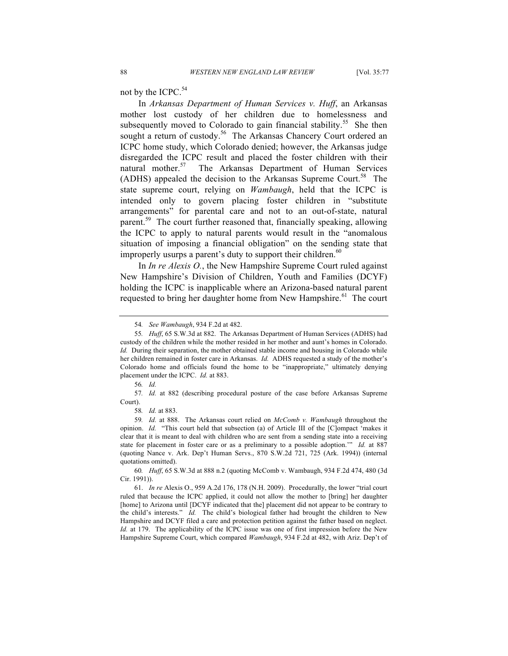not by the ICPC. $54$ 

 In *Arkansas Department of Human Services v. Huff*, an Arkansas mother lost custody of her children due to homelessness and sought a return of custody.<sup>56</sup> The Arkansas Chancery Court ordered an ICPC home study, which Colorado denied; however, the Arkansas judge disregarded the ICPC result and placed the foster children with their natural mother.<sup>57</sup> The Arkansas Department of Human Services (ADHS) appealed the decision to the Arkansas Supreme Court.<sup>58</sup> The state supreme court, relying on *Wambaugh*, held that the ICPC is intended only to govern placing foster children in "substitute arrangements" for parental care and not to an out-of-state, natural the ICPC to apply to natural parents would result in the "anomalous situation of imposing a financial obligation" on the sending state that improperly usurps a parent's duty to support their children. $60$ subsequently moved to Colorado to gain financial stability.<sup>55</sup> She then parent.<sup>59</sup> The court further reasoned that, financially speaking, allowing

 In *In re Alexis O.*, the New Hampshire Supreme Court ruled against New Hampshire's Division of Children, Youth and Families (DCYF) holding the ICPC is inapplicable where an Arizona-based natural parent requested to bring her daughter home from New Hampshire.<sup>61</sup> The court

<sup>54</sup>*. See Wambaugh*, 934 F.2d at 482.

 55*. Huff*, 65 S.W.3d at 882. The Arkansas Department of Human Services (ADHS) had custody of the children while the mother resided in her mother and aunt's homes in Colorado. *Id.* During their separation, the mother obtained stable income and housing in Colorado while her children remained in foster care in Arkansas. *Id.* ADHS requested a study of the mother's Colorado home and officials found the home to be "inappropriate," ultimately denying placement under the ICPC. *Id.* at 883.

<sup>56</sup>*. Id.* 

 57*. Id.* at 882 (describing procedural posture of the case before Arkansas Supreme Court).

<sup>58</sup>*. Id.* at 883.

 59*. Id.* at 888. The Arkansas court relied on *McComb v. Wambaugh* throughout the opinion. *Id.* "This court held that subsection (a) of Article III of the [C]ompact 'makes it clear that it is meant to deal with children who are sent from a sending state into a receiving state for placement in foster care or as a preliminary to a possible adoption.'" *Id.* at 887 (quoting Nance v. Ark. Dep't Human Servs., 870 S.W.2d 721, 725 (Ark. 1994)) (internal quotations omitted).

 60*. Huff*, 65 S.W.3d at 888 n.2 (quoting McComb v. Wambaugh, 934 F.2d 474, 480 (3d Cir. 1991)).

 61. *In re* Alexis O., 959 A.2d 176, 178 (N.H. 2009). Procedurally, the lower "trial court ruled that because the ICPC applied, it could not allow the mother to [bring] her daughter [home] to Arizona until [DCYF indicated that the] placement did not appear to be contrary to the child's interests." *Id.* The child's biological father had brought the children to New Hampshire and DCYF filed a care and protection petition against the father based on neglect. Hampshire Supreme Court, which compared *Wambaugh*, 934 F.2d at 482, with Ariz. Dep't of *Id.* at 179. The applicability of the ICPC issue was one of first impression before the New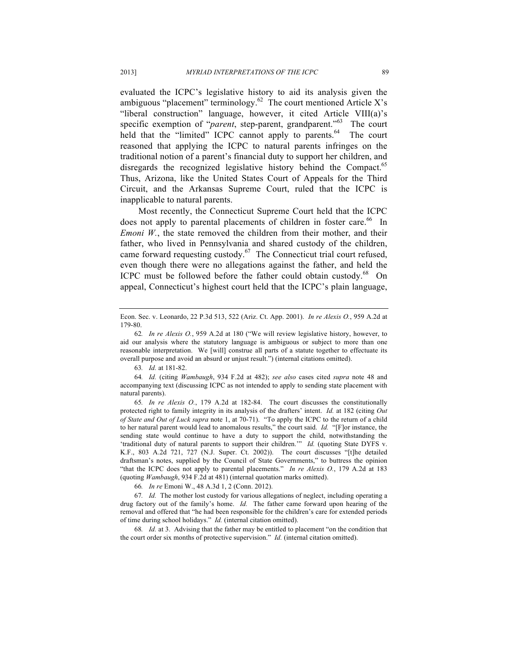evaluated the ICPC's legislative history to aid its analysis given the "liberal construction" language, however, it cited Article VIII(a)'s specific exemption of "*parent*, step-parent, grandparent."<sup>63</sup> The court held that the "limited" ICPC cannot apply to parents.<sup>64</sup> The court reasoned that applying the ICPC to natural parents infringes on the disregards the recognized legislative history behind the Compact.<sup>65</sup> Thus, Arizona, like the United States Court of Appeals for the Third Circuit, and the Arkansas Supreme Court, ruled that the ICPC is inapplicable to natural parents. ambiguous "placement" terminology.<sup>62</sup> The court mentioned Article X's traditional notion of a parent's financial duty to support her children, and

 Most recently, the Connecticut Supreme Court held that the ICPC does not apply to parental placements of children in foster care.<sup>66</sup> In *Emoni W.*, the state removed the children from their mother, and their father, who lived in Pennsylvania and shared custody of the children, came forward requesting custody.<sup>67</sup> The Connecticut trial court refused, even though there were no allegations against the father, and held the ICPC must be followed before the father could obtain custody.<sup>68</sup> On appeal, Connecticut's highest court held that the ICPC's plain language,

63*. Id.* at 181-82.

 64*. Id.* (citing *Wambaugh*, 934 F.2d at 482); *see also* cases cited *supra* note 48 and accompanying text (discussing ICPC as not intended to apply to sending state placement with natural parents).

 65*. In re Alexis O.*, 179 A.2d at 182-84. The court discusses the constitutionally protected right to family integrity in its analysis of the drafters' intent. *Id.* at 182 (citing *Out of State and Out of Luck supra* note 1, at 70-71). "To apply the ICPC to the return of a child to her natural parent would lead to anomalous results," the court said. *Id.* "[F]or instance, the sending state would continue to have a duty to support the child, notwithstanding the 'traditional duty of natural parents to support their children.'" *Id.* (quoting State DYFS v. K.F., 803 A.2d 721, 727 (N.J. Super. Ct. 2002)). The court discusses "[t]he detailed draftsman's notes, supplied by the Council of State Governments," to buttress the opinion "that the ICPC does not apply to parental placements." *In re Alexis O.*, 179 A.2d at 183 (quoting *Wambaugh*, 934 F.2d at 481) (internal quotation marks omitted).

66*. In re* Emoni W., 48 A.3d 1, 2 (Conn. 2012).

 drug factory out of the family's home. *Id.* The father came forward upon hearing of the removal and offered that "he had been responsible for the children's care for extended periods of time during school holidays." *Id.* (internal citation omitted). 67*. Id.* The mother lost custody for various allegations of neglect, including operating a

 68*. Id.* at 3. Advising that the father may be entitled to placement "on the condition that the court order six months of protective supervision." *Id.* (internal citation omitted).

 Econ. Sec. v. Leonardo, 22 P.3d 513, 522 (Ariz. Ct. App. 2001). *In re Alexis O.*, 959 A.2d at 179-80.

 62*. In re Alexis O.*, 959 A.2d at 180 ("We will review legislative history, however, to aid our analysis where the statutory language is ambiguous or subject to more than one reasonable interpretation. We [will] construe all parts of a statute together to effectuate its overall purpose and avoid an absurd or unjust result.") (internal citations omitted).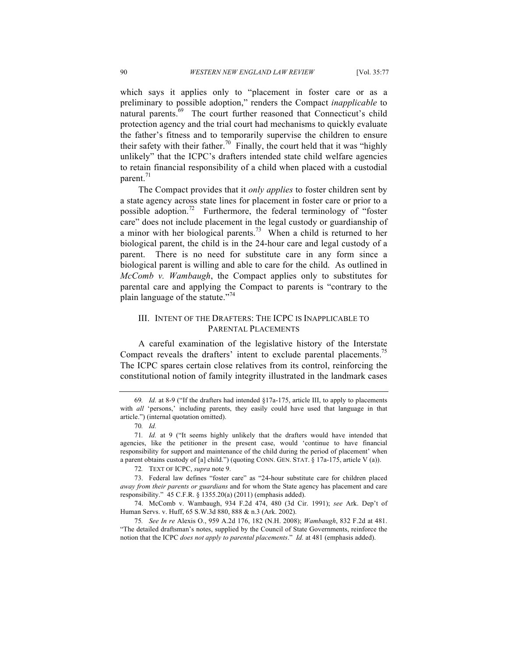which says it applies only to "placement in foster care or as a preliminary to possible adoption," renders the Compact *inapplicable* to natural parents.<sup>69</sup> The court further reasoned that Connecticut's child protection agency and the trial court had mechanisms to quickly evaluate the father's fitness and to temporarily supervise the children to ensure their safety with their father.<sup>70</sup> Finally, the court held that it was "highly" unlikely" that the ICPC's drafters intended state child welfare agencies to retain financial responsibility of a child when placed with a custodial parent.<sup>71</sup>

 The Compact provides that it *only applies* to foster children sent by a state agency across state lines for placement in foster care or prior to a care" does not include placement in the legal custody or guardianship of a minor with her biological parents.<sup>73</sup> When a child is returned to her biological parent, the child is in the 24-hour care and legal custody of a parent. biological parent is willing and able to care for the child. As outlined in  *McComb v. Wambaugh*, the Compact applies only to substitutes for parental care and applying the Compact to parents is "contrary to the plain language of the statute."<sup>74</sup> possible adoption.<sup>72</sup> Furthermore, the federal terminology of "foster" There is no need for substitute care in any form since a

#### III. INTENT OF THE DRAFTERS: THE ICPC IS INAPPLICABLE TO PARENTAL PLACEMENTS

 A careful examination of the legislative history of the Interstate Compact reveals the drafters' intent to exclude parental placements.<sup>75</sup> The ICPC spares certain close relatives from its control, reinforcing the constitutional notion of family integrity illustrated in the landmark cases

72*.* TEXT OF ICPC, *supra* note 9.

 69*. Id.* at 8-9 ("If the drafters had intended §17a-175, article III, to apply to placements with *all* 'persons,' including parents, they easily could have used that language in that article.") (internal quotation omitted).

<sup>70</sup>*. Id.* 

 agencies, like the petitioner in the present case, would 'continue to have financial responsibility for support and maintenance of the child during the period of placement' when a parent obtains custody of [a] child.") (quoting CONN. GEN. STAT. § 17a-175, article V (a)). 71*. Id.* at 9 ("It seems highly unlikely that the drafters would have intended that

 73. Federal law defines "foster care" as "24-hour substitute care for children placed *away from their parents or guardians* and for whom the State agency has placement and care responsibility." 45 C.F.R. § 1355.20(a) (2011) (emphasis added).

 74. McComb v. Wambaugh, 934 F.2d 474, 480 (3d Cir. 1991); *see* Ark. Dep't of Human Servs. v. Huff, 65 S.W.3d 880, 888 & n.3 (Ark. 2002).

 75*. See In re* Alexis O., 959 A.2d 176, 182 (N.H. 2008); *Wambaugh*, 832 F.2d at 481. "The detailed draftsman's notes, supplied by the Council of State Governments, reinforce the notion that the ICPC *does not apply to parental placements*." *Id.* at 481 (emphasis added).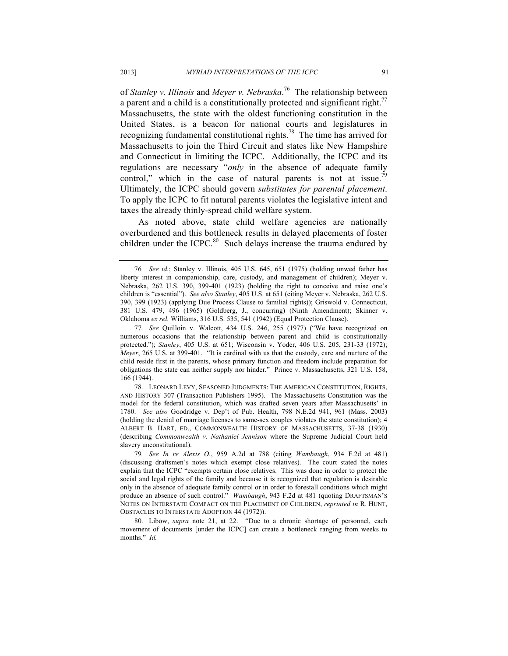of *Stanley v. Illinois* and *Meyer v. Nebraska*. 76 The relationship between a parent and a child is a constitutionally protected and significant right.<sup>77</sup> Massachusetts, the state with the oldest functioning constitution in the United States, is a beacon for national courts and legislatures in Massachusetts to join the Third Circuit and states like New Hampshire and Connecticut in limiting the ICPC. Additionally, the ICPC and its control," which in the case of natural parents is not at issue.<sup>79</sup> Ultimately, the ICPC should govern *substitutes for parental placement*. To apply the ICPC to fit natural parents violates the legislative intent and taxes the already thinly-spread child welfare system. recognizing fundamental constitutional rights.78 The time has arrived for regulations are necessary "*only* in the absence of adequate family

 As noted above, state child welfare agencies are nationally overburdened and this bottleneck results in delayed placements of foster children under the ICPC. $80$  Such delays increase the trauma endured by

 78. LEONARD LEVY, SEASONED JUDGMENTS: THE AMERICAN CONSTITUTION, RIGHTS, model for the federal constitution, which was drafted seven years after Massachusetts' in 1780. *See also* Goodridge v. Dep't of Pub. Health, 798 N.E.2d 941, 961 (Mass. 2003) (holding the denial of marriage licenses to same-sex couples violates the state constitution); 4 ALBERT B. HART, ED., COMMONWEALTH HISTORY OF MASSACHUSETTS, 37-38 (1930)  (describing *Commonwealth v. Nathaniel Jennison* where the Supreme Judicial Court held AND HISTORY 307 (Transaction Publishers 1995). The Massachusetts Constitution was the slavery unconstitutional).

 79*. See In re Alexis O.*, 959 A.2d at 788 (citing *Wambaugh*, 934 F.2d at 481) (discussing draftsmen's notes which exempt close relatives). The court stated the notes explain that the ICPC "exempts certain close relatives. This was done in order to protect the social and legal rights of the family and because it is recognized that regulation is desirable only in the absence of adequate family control or in order to forestall conditions which might produce an absence of such control." *Wambaugh*, 943 F.2d at 481 (quoting DRAFTSMAN'S NOTES ON INTERSTATE COMPACT ON THE PLACEMENT OF CHILDREN, *reprinted in* R. HUNT, OBSTACLES TO INTERSTATE ADOPTION 44 (1972)).

 movement of documents [under the ICPC] can create a bottleneck ranging from weeks to months." *Id.* 80. Libow, *supra* note 21, at 22. "Due to a chronic shortage of personnel, each

 76*. See id.*; Stanley v. Illinois, 405 U.S. 645, 651 (1975) (holding unwed father has liberty interest in companionship, care, custody, and management of children); Meyer v. Nebraska, 262 U.S. 390, 399-401 (1923) (holding the right to conceive and raise one's 390, 399 (1923) (applying Due Process Clause to familial rights)); Griswold v. Connecticut, 381 U.S. 479, 496 (1965) (Goldberg, J., concurring) (Ninth Amendment); Skinner v. Oklahoma *ex rel.* Williams, 316 U.S. 535, 541 (1942) (Equal Protection Clause). children is "essential"). *See also Stanley*, 405 U.S. at 651 (citing Meyer v. Nebraska, 262 U.S.

 numerous occasions that the relationship between parent and child is constitutionally *Meyer*, 265 U.S. at 399-401. "It is cardinal with us that the custody, care and nurture of the child reside first in the parents, whose primary function and freedom include preparation for obligations the state can neither supply nor hinder." Prince v. Massachusetts, 321 U.S. 158, 77*. See* Quilloin v. Walcott, 434 U.S. 246, 255 (1977) ("We have recognized on protected."); *Stanley*, 405 U.S. at 651; Wisconsin v. Yoder, 406 U.S. 205, 231-33 (1972); 166 (1944).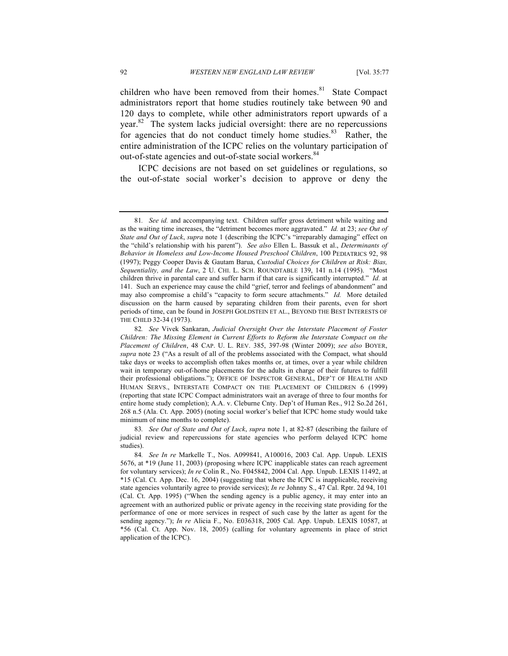children who have been removed from their homes.<sup>81</sup> State Compact administrators report that home studies routinely take between 90 and 120 days to complete, while other administrators report upwards of a year. $82$  The system lacks judicial oversight: there are no repercussions for agencies that do not conduct timely home studies.<sup>83</sup> Rather, the entire administration of the ICPC relies on the voluntary participation of out-of-state agencies and out-of-state social workers.<sup>84</sup>

 ICPC decisions are not based on set guidelines or regulations, so the out-of-state social worker's decision to approve or deny the

 81*. See id.* and accompanying text. Children suffer gross detriment while waiting and as the waiting time increases, the "detriment becomes more aggravated." *Id.* at 23; *see Out of State and Out of Luck*, *supra* note 1 (describing the ICPC's "irreparably damaging" effect on the "child's relationship with his parent"). *See also* Ellen L. Bassuk et al., *Determinants of Behavior in Homeless and Low-Income Housed Preschool Children*, 100 PEDIATRICS 92, 98 (1997); Peggy Cooper Davis & Gautam Barua, *Custodial Choices for Children at Risk: Bias, Sequentiality, and the Law*, 2 U. CHI. L. SCH. ROUNDTABLE 139, 141 n.14 (1995). "Most children thrive in parental care and suffer harm if that care is significantly interrupted." *Id.* at 141. Such an experience may cause the child "grief, terror and feelings of abandonment" and may also compromise a child's "capacity to form secure attachments." *Id.* More detailed discussion on the harm caused by separating children from their parents, even for short periods of time, can be found in JOSEPH GOLDSTEIN ET AL., BEYOND THE BEST INTERESTS OF THE CHILD 32-34 (1973).

 82*. See* Vivek Sankaran, *Judicial Oversight Over the Interstate Placement of Foster Children: The Missing Element in Current Efforts to Reform the Interstate Compact on the Placement of Children*, 48 CAP. U. L. REV. 385, 397-98 (Winter 2009); *see also* BOYER, *supra* note 23 ("As a result of all of the problems associated with the Compact, what should take days or weeks to accomplish often takes months or, at times, over a year while children wait in temporary out-of-home placements for the adults in charge of their futures to fulfill their professional obligations."); OFFICE OF INSPECTOR GENERAL, DEP'T OF HEALTH AND HUMAN SERVS., INTERSTATE COMPACT ON THE PLACEMENT OF CHILDREN 6 (1999) (reporting that state ICPC Compact administrators wait an average of three to four months for entire home study completion); A.A. v. Cleburne Cnty. Dep't of Human Res., 912 So.2d 261, 268 n.5 (Ala. Ct. App. 2005) (noting social worker's belief that ICPC home study would take minimum of nine months to complete).

 83*. See Out of State and Out of Luck*, *supra* note 1, at 82-87 (describing the failure of judicial review and repercussions for state agencies who perform delayed ICPC home studies).

 5676, at \*19 (June 11, 2003) (proposing where ICPC inapplicable states can reach agreement for voluntary services); *In re* Colin R., No. F045842, 2004 Cal. App. Unpub. LEXIS 11492, at \*15 (Cal. Ct. App. Dec. 16, 2004) (suggesting that where the ICPC is inapplicable, receiving state agencies voluntarily agree to provide services); *In re* Johnny S., 47 Cal. Rptr. 2d 94, 101 (Cal. Ct. App. 1995) ("When the sending agency is a public agency, it may enter into an agreement with an authorized public or private agency in the receiving state providing for the performance of one or more services in respect of such case by the latter as agent for the sending agency."); *In re* Alicia F., No. E036318, 2005 Cal. App. Unpub. LEXIS 10587, at \*56 (Cal. Ct. App. Nov. 18, 2005) (calling for voluntary agreements in place of strict application of the ICPC). 84*. See In re* Markelle T., Nos. A099841, A100016, 2003 Cal. App. Unpub. LEXIS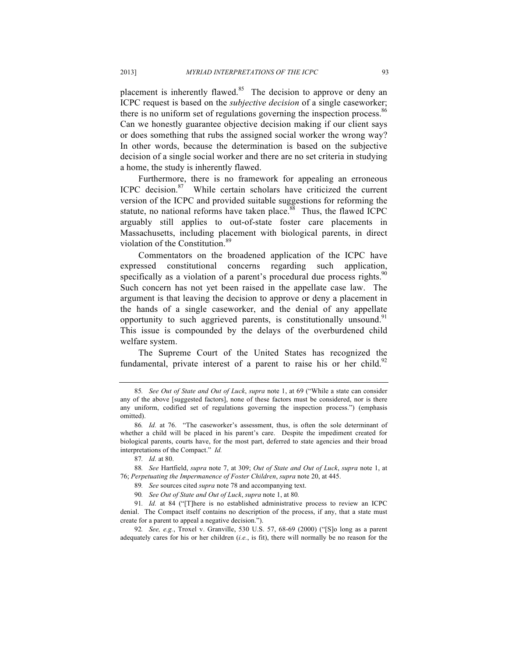placement is inherently flawed.<sup>85</sup> The decision to approve or deny an ICPC request is based on the *subjective decision* of a single caseworker; there is no uniform set of regulations governing the inspection process.<sup>86</sup> Can we honestly guarantee objective decision making if our client says or does something that rubs the assigned social worker the wrong way? In other words, because the determination is based on the subjective decision of a single social worker and there are no set criteria in studying a home, the study is inherently flawed.

 Furthermore, there is no framework for appealing an erroneous version of the ICPC and provided suitable suggestions for reforming the statute, no national reforms have taken place.<sup>88</sup> Thus, the flawed ICPC arguably still applies to out-of-state foster care placements in Massachusetts, including placement with biological parents, in direct violation of the Constitution.<sup>89</sup> ICPC decision.<sup>87</sup> While certain scholars have criticized the current

 Commentators on the broadened application of the ICPC have expressed constitutional concerns regarding such application, specifically as a violation of a parent's procedural due process rights. $90$  Such concern has not yet been raised in the appellate case law. The argument is that leaving the decision to approve or deny a placement in the hands of a single caseworker, and the denial of any appellate opportunity to such aggrieved parents, is constitutionally unsound.<sup>91</sup> This issue is compounded by the delays of the overburdened child welfare system.

 The Supreme Court of the United States has recognized the fundamental, private interest of a parent to raise his or her child.<sup>92</sup>

 88*. See* Hartfield, *supra* note 7, at 309; *Out of State and Out of Luck*, *supra* note 1, at  76; *Perpetuating the Impermanence of Foster Children*, *supra* note 20, at 445.

 92*. See, e.g.*, Troxel v. Granville, 530 U.S. 57, 68-69 (2000) ("[S]o long as a parent adequately cares for his or her children (*i.e.*, is fit), there will normally be no reason for the

 85*. See Out of State and Out of Luck*, *supra* note 1, at 69 ("While a state can consider any of the above [suggested factors], none of these factors must be considered, nor is there any uniform, codified set of regulations governing the inspection process.") (emphasis omitted).

 whether a child will be placed in his parent's care. Despite the impediment created for biological parents, courts have, for the most part, deferred to state agencies and their broad interpretations of the Compact." *Id.*  86*. Id.* at 76. "The caseworker's assessment, thus, is often the sole determinant of

<sup>87</sup>*. Id.* at 80.

<sup>89</sup>*. See* sources cited *supra* note 78 and accompanying text.

 90*. See Out of State and Out of Luck*, *supra* note 1, at 80*.* 

 91*. Id.* at 84 ("[T]here is no established administrative process to review an ICPC denial. The Compact itself contains no description of the process, if any, that a state must create for a parent to appeal a negative decision.").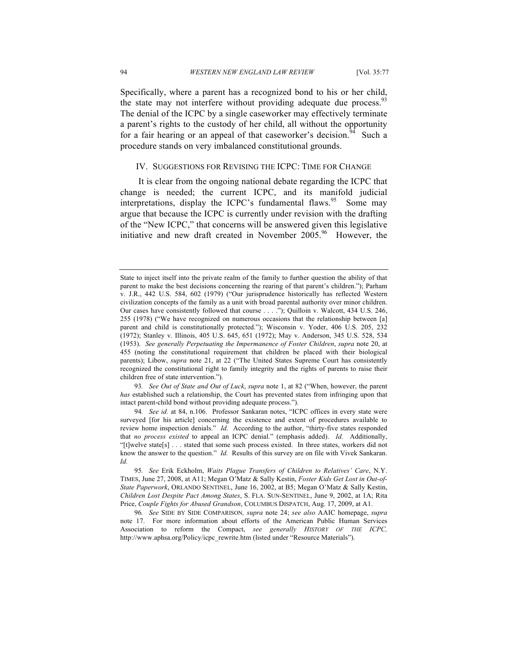Specifically, where a parent has a recognized bond to his or her child, the state may not interfere without providing adequate due process.<sup>93</sup> The denial of the ICPC by a single caseworker may effectively terminate a parent's rights to the custody of her child, all without the opportunity for a fair hearing or an appeal of that caseworker's decision.<sup>94</sup> Such a procedure stands on very imbalanced constitutional grounds.

#### IV. SUGGESTIONS FOR REVISING THE ICPC: TIME FOR CHANGE

 It is clear from the ongoing national debate regarding the ICPC that change is needed; the current ICPC, and its manifold judicial interpretations, display the ICPC's fundamental flaws.<sup>95</sup> Some may argue that because the ICPC is currently under revision with the drafting of the "New ICPC," that concerns will be answered given this legislative initiative and new draft created in November  $2005<sup>96</sup>$  However, the

 93*. See Out of State and Out of Luck*, *supra* note 1, at 82 ("When, however, the parent intact parent-child bond without providing adequate process."). *has* established such a relationship, the Court has prevented states from infringing upon that

 State to inject itself into the private realm of the family to further question the ability of that parent to make the best decisions concerning the rearing of that parent's children."); Parham v. J.R., 442 U.S. 584, 602 (1979) ("Our jurisprudence historically has reflected Western civilization concepts of the family as a unit with broad parental authority over minor children. Our cases have consistently followed that course . . . ."); Quilloin v. Walcott, 434 U.S. 246, 255 (1978) ("We have recognized on numerous occasions that the relationship between [a] (1953). *See generally Perpetuating the Impermanence of Foster Children*, *supra* note 20, at 455 (noting the constitutional requirement that children be placed with their biological parents); Libow, *supra* note 21, at 22 ("The United States Supreme Court has consistently recognized the constitutional right to family integrity and the rights of parents to raise their children free of state intervention."). parent and child is constitutionally protected."); Wisconsin v. Yoder, 406 U.S. 205, 232 (1972); Stanley v. Illinois, 405 U.S. 645, 651 (1972); May v. Anderson, 345 U.S. 528, 534

 94*. See id.* at 84, n.106. Professor Sankaran notes, "ICPC offices in every state were surveyed [for his article] concerning the existence and extent of procedures available to review home inspection denials." *Id.* According to the author, "thirty-five states responded that *no process existed* to appeal an ICPC denial." (emphasis added). *Id.* Additionally, "[t]welve state[s] . . . stated that some such process existed. In three states, workers did not know the answer to the question." *Id.* Results of this survey are on file with Vivek Sankaran. *Id.* 

 95*. See* Erik Eckholm, *Waits Plague Transfers of Children to Relatives' Care*, N.Y. TIMES, June 27, 2008, at A11; Megan O'Matz & Sally Kestin, *Foster Kids Get Lost in Out-of- State Paperwork*, ORLANDO SENTINEL, June 16, 2002, at B5; Megan O'Matz & Sally Kestin,  *Children Lost Despite Pact Among States*, S. FLA. SUN-SENTINEL, June 9, 2002, at 1A; Rita  Price, *Couple Fights for Abused Grandson*, COLUMBUS DISPATCH, Aug. 17, 2009, at A1.

 96*. See* SIDE BY SIDE COMPARISON*, supra* note 24; *see also* AAIC homepage, *supra*  note 17. For more information about efforts of the American Public Human Services Association to reform the Compact, *see generally HISTORY OF THE ICPC,*  http://www.aphsa.org/Policy/icpc\_rewrite.htm (listed under "Resource Materials").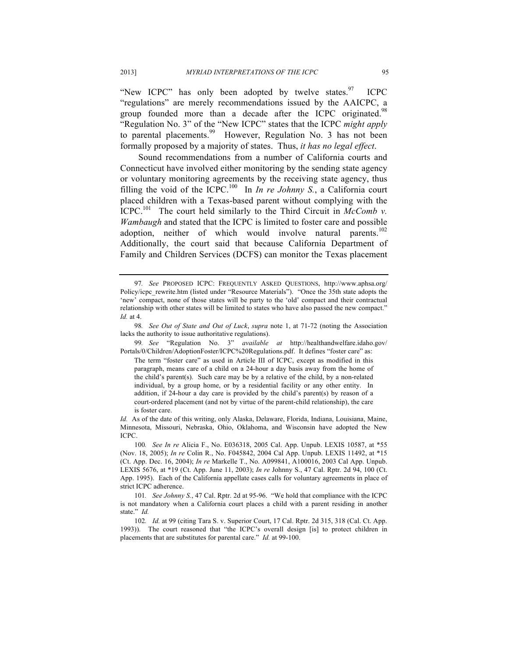"New ICPC" has only been adopted by twelve states. $97$  ICPC "regulations" are merely recommendations issued by the AAICPC, a group founded more than a decade after the ICPC originated.<sup>98</sup> "Regulation No. 3" of the "New ICPC" states that the ICPC *might apply*  to parental placements.<sup>99</sup> However, Regulation No. 3 has not been formally proposed by a majority of states. Thus, *it has no legal effect*.

 Sound recommendations from a number of California courts and Connecticut have involved either monitoring by the sending state agency or voluntary monitoring agreements by the receiving state agency, thus filling the void of the ICPC.<sup>100</sup> In *In re Johnny S.*, a California court placed children with a Texas-based parent without complying with the  $ICPC<sup>101</sup>$  The court held similarly to the Third Circuit in *McComb v*. *Wambaugh* and stated that the ICPC is limited to foster care and possible adoption, neither of which would involve natural parents.<sup>102</sup> Additionally, the court said that because California Department of Family and Children Services (DCFS) can monitor the Texas placement

99*. See* "Regulation No. 3" *available at* http://healthandwelfare.idaho.gov/ Portals/0/Children/AdoptionFoster/ICPC%20Regulations.pdf. It defines "foster care" as:

 The term "foster care" as used in Article III of ICPC, except as modified in this paragraph, means care of a child on a 24-hour a day basis away from the home of the child's parent(s). Such care may be by a relative of the child, by a non-related individual, by a group home, or by a residential facility or any other entity. In addition, if 24-hour a day care is provided by the child's parent(s) by reason of a court-ordered placement (and not by virtue of the parent-child relationship), the care is foster care.

 Minnesota, Missouri, Nebraska, Ohio, Oklahoma, and Wisconsin have adopted the New *Id.* As of the date of this writing, only Alaska, Delaware, Florida, Indiana, Louisiana, Maine, ICPC.

Policy/icpc\_rewrite.htm (listed under "Resource Materials"). "Once the 35th state adopts the 'new' compact, none of those states will be party to the 'old' compact and their contractual relationship with other states will be limited to states who have also passed the new compact." 97*. See* PROPOSED ICPC: FREQUENTLY ASKED QUESTIONS, http://www.aphsa.org/ *Id.* at 4.

 98*. See Out of State and Out of Luck*, *supra* note 1, at 71-72 (noting the Association lacks the authority to issue authoritative regulations).

 100*. See In re* Alicia F., No. E036318, 2005 Cal. App. Unpub. LEXIS 10587, at \*55 (Nov. 18, 2005); *In re* Colin R., No. F045842, 2004 Cal App. Unpub. LEXIS 11492, at \*15 (Ct. App. Dec. 16, 2004); *In re* Markelle T., No. A099841, A100016, 2003 Cal App. Unpub. LEXIS 5676, at \*19 (Ct. App. June 11, 2003); *In re* Johnny S., 47 Cal. Rptr. 2d 94, 100 (Ct. App. 1995). Each of the California appellate cases calls for voluntary agreements in place of strict ICPC adherence.

 101*. See Johnny S.*, 47 Cal. Rptr. 2d at 95-96. "We hold that compliance with the ICPC is not mandatory when a California court places a child with a parent residing in another state." *Id.* 

 1993)). The court reasoned that "the ICPC's overall design [is] to protect children in placements that are substitutes for parental care." *Id.* at 99-100. 102*. Id.* at 99 (citing Tara S. v. Superior Court, 17 Cal. Rptr. 2d 315, 318 (Cal. Ct. App.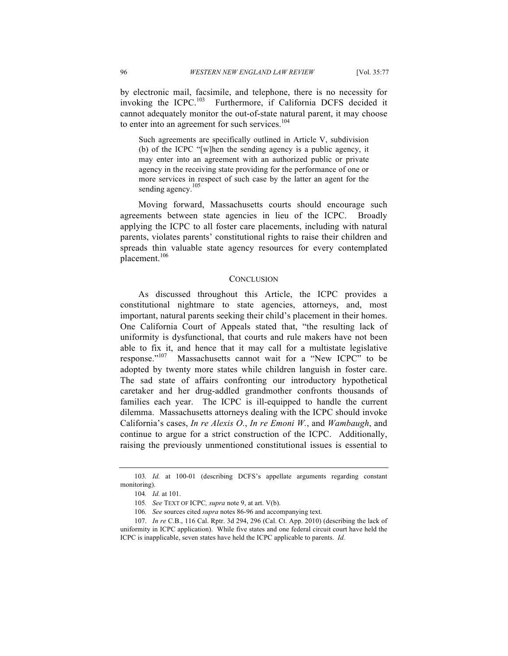invoking the ICPC. $^{103}$  cannot adequately monitor the out-of-state natural parent, it may choose by electronic mail, facsimile, and telephone, there is no necessity for Furthermore, if California DCFS decided it to enter into an agreement for such services.<sup>104</sup>

 Such agreements are specifically outlined in Article V, subdivision (b) of the ICPC "[w]hen the sending agency is a public agency, it may enter into an agreement with an authorized public or private agency in the receiving state providing for the performance of one or more services in respect of such case by the latter an agent for the sending agency.<sup>105</sup>

 Moving forward, Massachusetts courts should encourage such agreements between state agencies in lieu of the ICPC. Broadly applying the ICPC to all foster care placements, including with natural parents, violates parents' constitutional rights to raise their children and spreads thin valuable state agency resources for every contemplated placement.<sup>106</sup>

#### **CONCLUSION**

 As discussed throughout this Article, the ICPC provides a constitutional nightmare to state agencies, attorneys, and, most important, natural parents seeking their child's placement in their homes. One California Court of Appeals stated that, "the resulting lack of uniformity is dysfunctional, that courts and rule makers have not been able to fix it, and hence that it may call for a multistate legislative response."<sup>107</sup> Massachusetts cannot wait for a "New ICPC" to be adopted by twenty more states while children languish in foster care. The sad state of affairs confronting our introductory hypothetical caretaker and her drug-addled grandmother confronts thousands of families each year. The ICPC is ill-equipped to handle the current dilemma. Massachusetts attorneys dealing with the ICPC should invoke California's cases, *In re Alexis O.*, *In re Emoni W.*, and *Wambaugh*, and continue to argue for a strict construction of the ICPC. Additionally, raising the previously unmentioned constitutional issues is essential to

 103*. Id.* at 100-01 (describing DCFS's appellate arguments regarding constant monitoring).

<sup>104</sup>*. Id.* at 101.

<sup>105</sup>*. See* TEXT OF ICPC*, supra* note 9, at art. V(b).

 106*. See* sources cited *supra* notes 86-96 and accompanying text.

 107. *In re* C.B., 116 Cal. Rptr. 3d 294, 296 (Cal. Ct. App. 2010) (describing the lack of uniformity in ICPC application). While five states and one federal circuit court have held the ICPC is inapplicable, seven states have held the ICPC applicable to parents. *Id.*